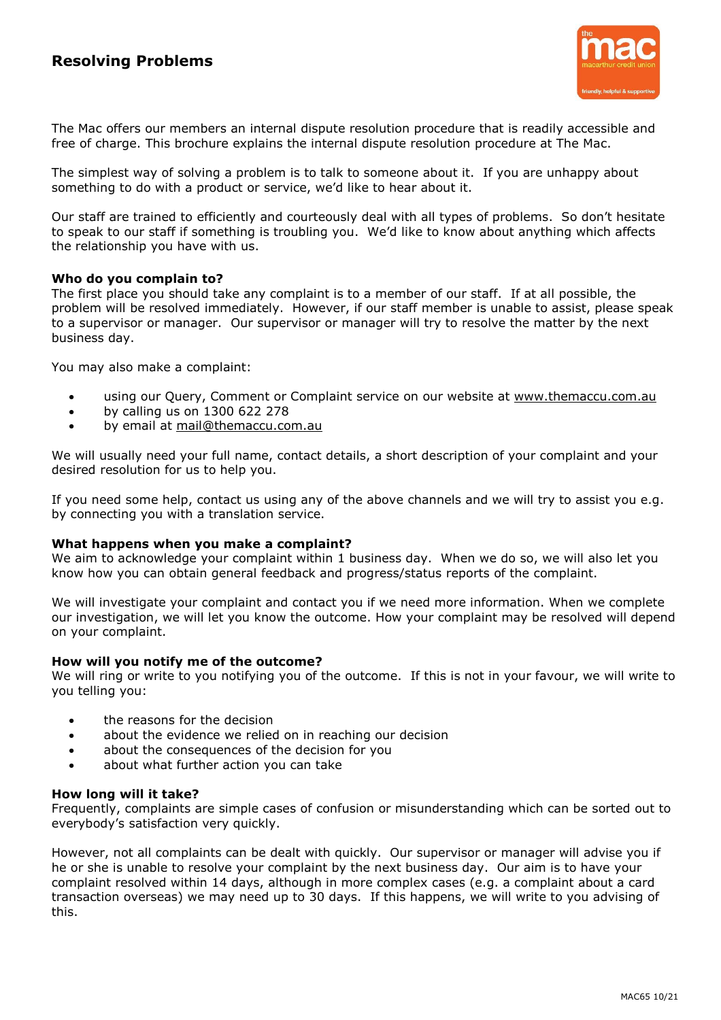

The Mac offers our members an internal dispute resolution procedure that is readily accessible and free of charge. This brochure explains the internal dispute resolution procedure at The Mac.

The simplest way of solving a problem is to talk to someone about it. If you are unhappy about something to do with a product or service, we'd like to hear about it.

Our staff are trained to efficiently and courteously deal with all types of problems. So don't hesitate to speak to our staff if something is troubling you. We'd like to know about anything which affects the relationship you have with us.

## **Who do you complain to?**

The first place you should take any complaint is to a member of our staff. If at all possible, the problem will be resolved immediately. However, if our staff member is unable to assist, please speak to a supervisor or manager. Our supervisor or manager will try to resolve the matter by the next business day.

You may also make a complaint:

- using our Query, Comment or Complaint service on our website at [www.them](http://www.the/)accu.com.au
- by calling us on 1300 622 278
- by email at [mail@themaccu.com.au](mailto:mail@themaccu.com.au)

We will usually need your full name, contact details, a short description of your complaint and your desired resolution for us to help you.

If you need some help, contact us using any of the above channels and we will try to assist you e.g. by connecting you with a translation service.

### **What happens when you make a complaint?**

We aim to acknowledge your complaint within 1 business day. When we do so, we will also let you know how you can obtain general feedback and progress/status reports of the complaint.

We will investigate your complaint and contact you if we need more information. When we complete our investigation, we will let you know the outcome. How your complaint may be resolved will depend on your complaint.

## **How will you notify me of the outcome?**

We will ring or write to you notifying you of the outcome. If this is not in your favour, we will write to you telling you:

- the reasons for the decision
- about the evidence we relied on in reaching our decision
- about the consequences of the decision for you
- about what further action you can take

## **How long will it take?**

Frequently, complaints are simple cases of confusion or misunderstanding which can be sorted out to everybody's satisfaction very quickly.

However, not all complaints can be dealt with quickly. Our supervisor or manager will advise you if he or she is unable to resolve your complaint by the next business day. Our aim is to have your complaint resolved within 14 days, although in more complex cases (e.g. a complaint about a card transaction overseas) we may need up to 30 days. If this happens, we will write to you advising of this.